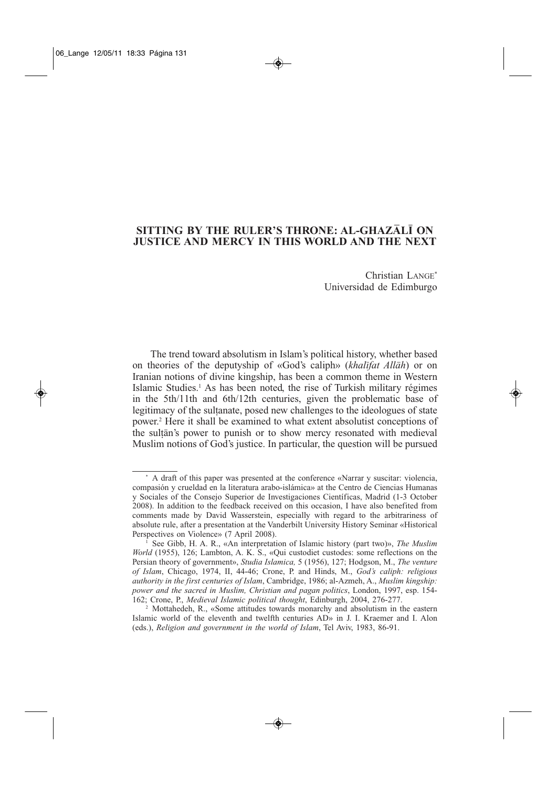# **SITTING BY THE RULER'S THRONE: AL-GHAZALI ON JUSTICE AND MERCY IN THIS WORLD AND THE NEXT**

Christian LANGE\* Universidad de Edimburgo

The trend toward absolutism in Islam's political history, whether based on theories of the deputyship of «God's caliph» (*khalifat Allah*) or on Iranian notions of divine kingship, has been a common theme in Western Islamic Studies.1 As has been noted, the rise of Turkish military régimes in the 5th/11th and 6th/12th centuries, given the problematic base of legitimacy of the sultanate, posed new challenges to the ideologues of state power.2 Here it shall be examined to what extent absolutist conceptions of the sultan's power to punish or to show mercy resonated with medieval Muslim notions of God's justice. In particular, the question will be pursued

<sup>\*</sup> A draft of this paper was presented at the conference «Narrar y suscitar: violencia, compasión y crueldad en la literatura arabo-islámica» at the Centro de Ciencias Humanas y Sociales of the Consejo Superior de Investigaciones Científicas, Madrid (1-3 October 2008). In addition to the feedback received on this occasion, I have also benefited from comments made by David Wasserstein, especially with regard to the arbitrariness of absolute rule, after a presentation at the Vanderbilt University History Seminar «Historical Perspectives on Violence» (7 April 2008).

<sup>1</sup> See Gibb, H. A. R., «An interpretation of Islamic history (part two)», *The Muslim World* (1955), 126; Lambton, A. K. S., «Qui custodiet custodes: some reflections on the Persian theory of government», *Studia Islamica,* 5 (1956), 127; Hodgson, M., *The venture of Islam*, Chicago, 1974, II, 44-46; Crone, P. and Hinds, M., *God's caliph: religious authority in the first centuries of Islam*, Cambridge, 1986; al-Azmeh, A., *Muslim kingship: power and the sacred in Muslim, Christian and pagan politics*, London, 1997, esp. 154- 162; Crone, P., *Medieval Islamic political thought*, Edinburgh, 2004, 276-277.

<sup>2</sup> Mottahedeh, R., «Some attitudes towards monarchy and absolutism in the eastern Islamic world of the eleventh and twelfth centuries AD» in J. I. Kraemer and I. Alon (eds.), *Religion and government in the world of Islam*, Tel Aviv, 1983, 86-91.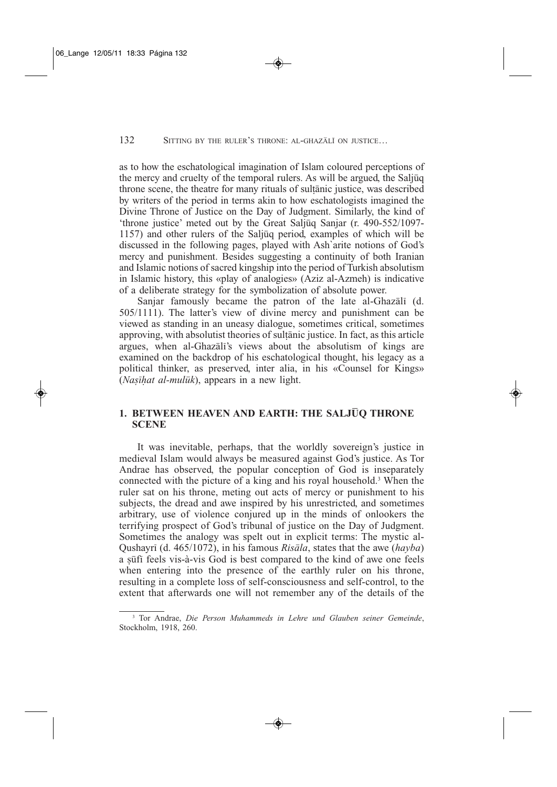as to how the eschatological imagination of Islam coloured perceptions of the mercy and cruelty of the temporal rulers. As will be argued, the Saljuq throne scene, the theatre for many rituals of sultanic justice, was described by writers of the period in terms akin to how eschatologists imagined the Divine Throne of Justice on the Day of Judgment. Similarly, the kind of 'throne justice' meted out by the Great Saljuq Sanjar (r. 490-552/1097- 1157) and other rulers of the Saljuq period, examples of which will be discussed in the following pages, played with Ash`arite notions of God's mercy and punishment. Besides suggesting a continuity of both Iranian and Islamic notions of sacred kingship into the period of Turkish absolutism in Islamic history, this «play of analogies» (Aziz al-Azmeh) is indicative of a deliberate strategy for the symbolization of absolute power.

Sanjar famously became the patron of the late al-Ghazali (d. 505/1111). The latter's view of divine mercy and punishment can be viewed as standing in an uneasy dialogue, sometimes critical, sometimes approving, with absolutist theories of sultanic justice. In fact, as this article argues, when al-Ghazali's views about the absolutism of kings are examined on the backdrop of his eschatological thought, his legacy as a political thinker, as preserved, inter alia, in his «Counsel for Kings» (*Nasihat al-muluk*), appears in a new light.

## **1. BETWEEN HEAVEN AND EARTH: THE SALJUQ THRONE SCENE**

It was inevitable, perhaps, that the worldly sovereign's justice in medieval Islam would always be measured against God's justice. As Tor Andrae has observed, the popular conception of God is inseparately connected with the picture of a king and his royal household.3 When the ruler sat on his throne, meting out acts of mercy or punishment to his subjects, the dread and awe inspired by his unrestricted, and sometimes arbitrary, use of violence conjured up in the minds of onlookers the terrifying prospect of God's tribunal of justice on the Day of Judgment. Sometimes the analogy was spelt out in explicit terms: The mystic al-Qushayri (d. 465/1072), in his famous *Risala*, states that the awe (*hayba*) a sufi feels vis-à-vis God is best compared to the kind of awe one feels when entering into the presence of the earthly ruler on his throne, resulting in a complete loss of self-consciousness and self-control, to the extent that afterwards one will not remember any of the details of the

<sup>3</sup> Tor Andrae, *Die Person Muhammeds in Lehre und Glauben seiner Gemeinde*, Stockholm, 1918, 260.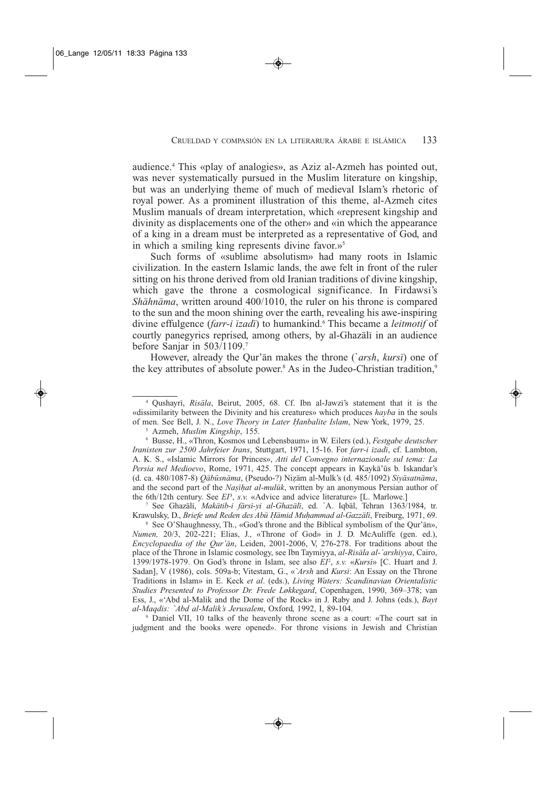audience.4 This «play of analogies», as Aziz al-Azmeh has pointed out, was never systematically pursued in the Muslim literature on kingship, but was an underlying theme of much of medieval Islam's rhetoric of royal power. As a prominent illustration of this theme, al-Azmeh cites Muslim manuals of dream interpretation, which «represent kingship and divinity as displacements one of the other» and «in which the appearance of a king in a dream must be interpreted as a representative of God, and in which a smiling king represents divine favor. $v^5$ 

Such forms of «sublime absolutism» had many roots in Islamic civilization. In the eastern Islamic lands, the awe felt in front of the ruler sitting on his throne derived from old Iranian traditions of divine kingship, which gave the throne a cosmological significance. In Firdawsi's *Shahnama*, written around 400/1010, the ruler on his throne is compared to the sun and the moon shining over the earth, revealing his awe-inspiring divine effulgence (*farr-i izadi*) to humankind.6 This became a *leitmotif* of courtly panegyrics reprised, among others, by al-Ghazali in an audience before Sanjar in 503/1109.7

However, already the Qur'an makes the throne (`*arsh*, *kursi*) one of the key attributes of absolute power.<sup>8</sup> As in the Judeo-Christian tradition,<sup>9</sup>

<sup>5</sup> Azmeh, *Muslim Kingship*, 155.

<sup>8</sup> See O'Shaughnessy, Th., «God's throne and the Biblical symbolism of the Qur'an», *Numen,* 20/3, 202-221; Elias, J., «Throne of God» in J. D. McAuliffe (gen. ed.), *Encyclopaedia of the Qur'an*, Leiden, 2001-2006, V, 276-278. For traditions about the place of the Throne in Islamic cosmology, see Ibn Taymiyya, *al-Risala al-`arshiyya*, Cairo, 1399/1978-1979. On God's throne in Islam, see also *EI*<sup>2</sup> , *s.v.* «*Kursi*» [C. Huart and J. Sadan], V (1986), cols. 509a-b; Vitestam, G., «*`Arsh* and *Kursi*: An Essay on the Throne Traditions in Islam» in E. Keck *et al*. (eds.), *Living Waters: Scandinavian Orientalistic Studies Presented to Professor Dr. Frede Løkkegard*, Copenhagen, 1990, 369–378; van Ess, J., «'Abd al-Malik and the Dome of the Rock» in J. Raby and J. Johns (eds.), *Bayt al-Maqdis: `Abd al-Malik's Jerusalem*, Oxford, 1992, I, 89-104.

<sup>9</sup> Daniel VII, 10 talks of the heavenly throne scene as a court: «The court sat in judgment and the books were opened». For throne visions in Jewish and Christian

<sup>4</sup> Qushayri, *Risala*, Beirut, 2005, 68. Cf. Ibn al-Jawzi's statement that it is the «dissimilarity between the Divinity and his creatures» which produces *hayba* in the souls of men. See Bell, J. N., *Love Theory in Later Hanbalite Islam*, New York, 1979, 25.

<sup>6</sup> Busse, H., «Thron, Kosmos und Lebensbaum» in W. Eilers (ed.), *Festgabe deutscher Iranisten zur 2500 Jahrfeier Irans*, Stuttgart, 1971, 15-16. For *farr-i izadi*, cf. Lambton, A. K. S., «Islamic Mirrors for Princes», *Atti del Convegno internazionale sul tema: La* Persia nel Medioevo, Rome, 1971, 425. The concept appears in Kayka'ūs b. Iskandar's (d. ca. 480/1087-8) *Qabusnama*, (Pseudo-?) Nizam al-Mulk's (d. 485/1092) *Siyasatnama*, and the second part of the *Nasihat al-muluk*, written by an anonymous Persian author of the 6th/12th century. See *EI*<sup>3</sup>, *s.v.* «Advice and advice literature» [L. Marlowe.]

<sup>7</sup> See Ghazali, *Makatib-i farsi-yi al-Ghazali*, ed. `A. Iqbal, Tehran 1363/1984, tr. Krawulsky, D., *Briefe und Reden des Abu Hamid Muhammad al-Gazzali*, Freiburg, 1971, 69.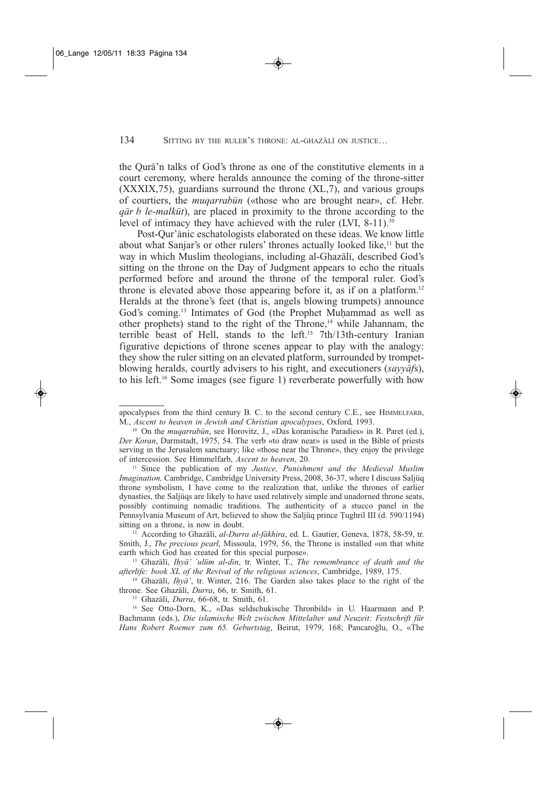the Qura'n talks of God's throne as one of the constitutive elements in a court ceremony, where heralds announce the coming of the throne-sitter (XXXIX,75), guardians surround the throne (XL,7), and various groups of courtiers, the *muqarrabun* («those who are brought near», cf. Hebr. *qar b le-malkut*), are placed in proximity to the throne according to the level of intimacy they have achieved with the ruler (LVI, 8-11).<sup>10</sup>

Post-Qur'anic eschatologists elaborated on these ideas. We know little about what Sanjar's or other rulers' thrones actually looked like,<sup>11</sup> but the way in which Muslim theologians, including al-Ghazali, described God's sitting on the throne on the Day of Judgment appears to echo the rituals performed before and around the throne of the temporal ruler. God's throne is elevated above those appearing before it, as if on a platform.<sup>12</sup> Heralds at the throne's feet (that is, angels blowing trumpets) announce God's coming.13 Intimates of God (the Prophet Muhammad as well as other prophets) stand to the right of the Throne,<sup>14</sup> while Jahannam, the terrible beast of Hell, stands to the left.<sup>15</sup> 7th/13th-century Iranian figurative depictions of throne scenes appear to play with the analogy: they show the ruler sitting on an elevated platform, surrounded by trompetblowing heralds, courtly advisers to his right, and executioners (*sayyaf*s), to his left.16 Some images (see figure 1) reverberate powerfully with how

<sup>11</sup> Since the publication of my Justice, Punishment and the Medieval Muslim *Imagination,* Cambridge, Cambridge University Press, 2008, 36-37, where I discuss Saljuq throne symbolism, I have come to the realization that, unlike the thrones of earlier dynasties, the Saljuqs are likely to have used relatively simple and unadorned throne seats, possibly continuing nomadic traditions. The authenticity of a stucco panel in the Pennsylvania Museum of Art, believed to show the Saljuq prince Tughril III (d. 590/1194) sitting on a throne, is now in doubt.

<sup>12</sup> According to Ghazali, *al-Durra al-fakhira*, ed. L. Gautier, Geneva, 1878, 58-59, tr. Smith, J., *The precious pearl*, Missoula, 1979, 56, the Throne is installed «on that white earth which God has created for this special purpose».

<sup>13</sup> Ghazali, *Ihya' `ulum al-din*, tr. Winter, T., *The remembrance of death and the afterlife: book XL of the Revival of the religious sciences*, Cambridge, 1989, 175.

<sup>14</sup> Ghazali, *Ih* $y\bar{a}$ <sup>'</sup>, tr. Winter, 216. The Garden also takes place to the right of the throne. See Ghazali, *Durra*, 66, tr. Smith, 61.

<sup>15</sup> Ghazali, *Durra*, 66-68, tr. Smith, 61.

<sup>16</sup> See Otto-Dorn, K., «Das seldschukische Thronbild» in U. Haarmann and P. Bachmann (eds.), *Die islamische Welt zwischen Mittelalter und Neuzeit: Festschrift für Hans Robert Roemer zum 65. Geburtstag*, Beirut, 1979, 168; Pancaroglu, O., «The

apocalypses from the third century B. C. to the second century C.E., see HIMMELFARB, M., *Ascent to heaven in Jewish and Christian apocalypses*, Oxford, 1993.

<sup>&</sup>lt;sup>10</sup> On the *muqarrabūn*, see Horovitz, J., «Das koranische Paradies» in R. Paret (ed.), *Der Koran*, Darmstadt, 1975, 54. The verb «to draw near» is used in the Bible of priests serving in the Jerusalem sanctuary; like «those near the Throne», they enjoy the privilege of intercession. See Himmelfarb, *Ascent to heaven*, 20.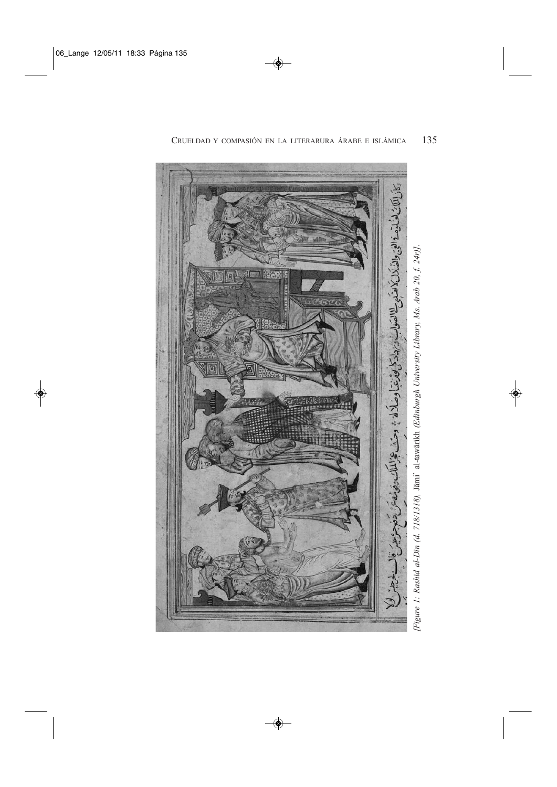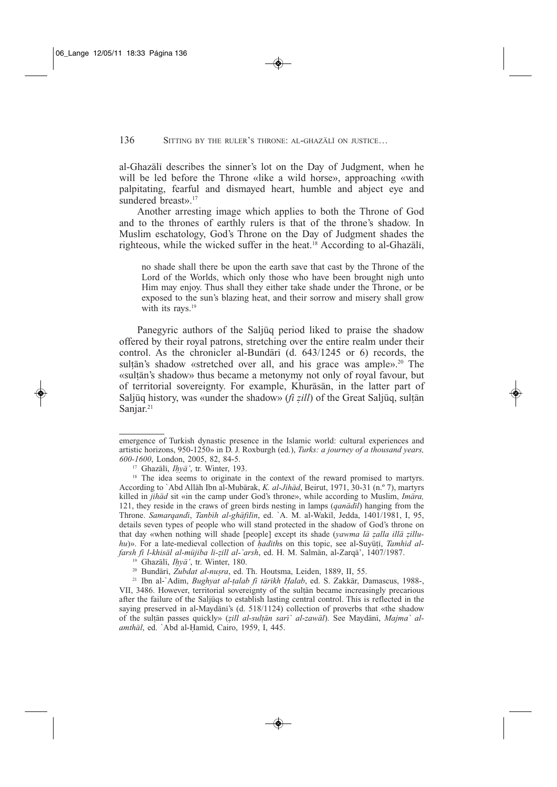al-Ghazali describes the sinner's lot on the Day of Judgment, when he will be led before the Throne «like a wild horse», approaching «with palpitating, fearful and dismayed heart, humble and abject eye and sundered breast».<sup>17</sup>

Another arresting image which applies to both the Throne of God and to the thrones of earthly rulers is that of the throne's shadow. In Muslim eschatology, God's Throne on the Day of Judgment shades the righteous, while the wicked suffer in the heat.<sup>18</sup> According to al-Ghazali,

no shade shall there be upon the earth save that cast by the Throne of the Lord of the Worlds, which only those who have been brought nigh unto Him may enjoy. Thus shall they either take shade under the Throne, or be exposed to the sun's blazing heat, and their sorrow and misery shall grow with its rays.<sup>19</sup>

Panegyric authors of the Saliuq period liked to praise the shadow offered by their royal patrons, stretching over the entire realm under their control. As the chronicler al-Bundari (d. 643/1245 or 6) records, the sultān's shadow «stretched over all, and his grace was ample».<sup>20</sup> The «sultan's shadow» thus became a metonymy not only of royal favour, but of territorial sovereignty. For example, Khurasan, in the latter part of Saljuq history, was «under the shadow» (*fi zill*) of the Great Saljuq, sultan Sanjar.<sup>21</sup>

emergence of Turkish dynastic presence in the Islamic world: cultural experiences and artistic horizons, 950-1250» in D. J. Roxburgh (ed.), *Turks: a journey of a thousand years, 600-1600*, London, 2005, 82, 84-5.

<sup>17</sup> Ghazali, *Ihya'*, tr. Winter, 193.

<sup>&</sup>lt;sup>18</sup> The idea seems to originate in the context of the reward promised to martyrs. According to `Abd Allah Ibn al-Mubarak, *K. al-Jihad*, Beirut, 1971, 30-31 (n.º 7), martyrs killed in *jihad* sit «in the camp under God's throne», while according to Muslim, *Imara,* 121, they reside in the craws of green birds nesting in lamps (*qanadil*) hanging from the Throne. *Samarqandi*, *Tanbih al-ghafilin*, ed. `A. M. al-Wakil, Jedda, 1401/1981, I, 95, details seven types of people who will stand protected in the shadow of God's throne on that day «when nothing will shade [people] except its shade (*yawma la zalla illa zilluhu*)». For a late-medieval collection of *hadiths* on this topic, see al-Suyūtī, *Tamhīd alfarsh fi l-khisal al-mujiba li-zill al-`arsh*, ed. H. M. Salman, al-Zarqa', 1407/1987.

<sup>19</sup> Ghazali, *Ihya'*, tr. Winter, 180.

<sup>20</sup> Bundari, *Zubdat al-nusra*, ed. Th. Houtsma, Leiden, 1889, II, 55.

<sup>21</sup> Ibn al-`Adim, *Bughyat al-talab fi tarikh Halab*, ed. S. Zakkar, Damascus, 1988-, VII, 3486. However, territorial sovereignty of the sultan became increasingly precarious after the failure of the Saljuqs to establish lasting central control. This is reflected in the saying preserved in al-Maydani's (d. 518/1124) collection of proverbs that «the shadow of the sultan passes quickly» (*zill al-sultan sari` al-zawal*). See Maydani, *Majma` alamthal*, ed. `Abd al-Hamid, Cairo, 1959, I, 445.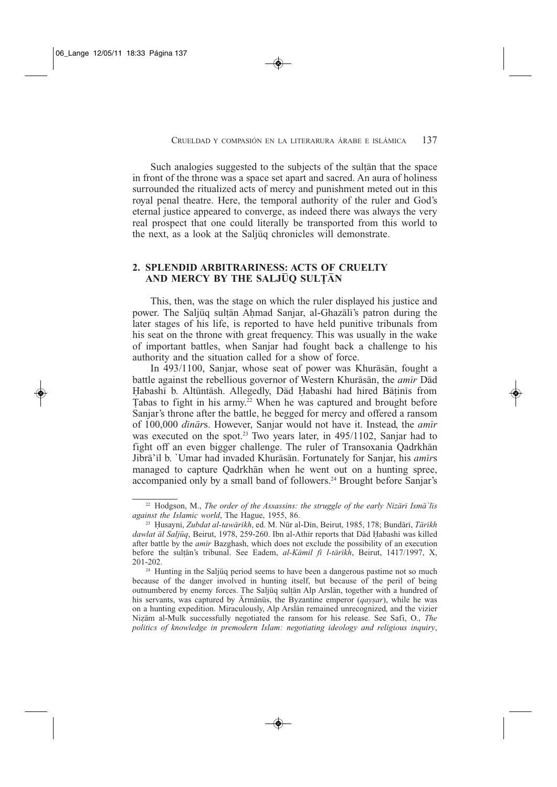Such analogies suggested to the subjects of the sultan that the space in front of the throne was a space set apart and sacred. An aura of holiness surrounded the ritualized acts of mercy and punishment meted out in this royal penal theatre. Here, the temporal authority of the ruler and God's eternal justice appeared to converge, as indeed there was always the very real prospect that one could literally be transported from this world to the next, as a look at the Saljuq chronicles will demonstrate.

## **2. SPLENDID ARBITRARINESS: ACTS OF CRUELTY AND MERCY BY THE SALJUQ SULTAN**

This, then, was the stage on which the ruler displayed his justice and power. The Saljuq sultan Ahmad Sanjar, al-Ghazali's patron during the later stages of his life, is reported to have held punitive tribunals from his seat on the throne with great frequency. This was usually in the wake of important battles, when Sanjar had fought back a challenge to his authority and the situation called for a show of force.

In 493/1100, Sanjar, whose seat of power was Khurāsān, fought a battle against the rebellious governor of Western Khurasan, the *amir* Dad Habashi b. Altuntash. Allegedly, Dad Habashi had hired Batinis from Tabas to fight in his army.<sup>22</sup> When he was captured and brought before Sanjar's throne after the battle, he begged for mercy and offered a ransom of 100,000 *dinar*s. However, Sanjar would not have it. Instead, the *amir* was executed on the spot.<sup>23</sup> Two years later, in 495/1102, Sanjar had to fight off an even bigger challenge. The ruler of Transoxania Qadrkhan Jibra'il b. `Umar had invaded Khurasan. Fortunately for Sanjar, his *amir*s managed to capture Qadrkhan when he went out on a hunting spree, accompanied only by a small band of followers.<sup>24</sup> Brought before Sanjar's

<sup>22</sup> Hodgson, M., *The order of the Assassins: the struggle of the early Nizari Isma`lis against the Islamic world*, The Hague, 1955, 86.

<sup>23</sup> Husayni, *Zubdat al-tawarikh*, ed. M. Nur al-Din, Beirut, 1985, 178; Bundari, *Tarikh dawlat al Saljuq*, Beirut, 1978, 259-260. Ibn al-Athir reports that Dad Habashi was killed after battle by the *amir* Bazghash, which does not exclude the possibility of an execution before the sultan's tribunal. See Eadem, *al-Kamil fi l-tarikh*, Beirut, 1417/1997, X, 201-202.

<sup>&</sup>lt;sup>24</sup> Hunting in the Saljuq period seems to have been a dangerous pastime not so much because of the danger involved in hunting itself, but because of the peril of being outnumbered by enemy forces. The Saljuq sultan Alp Arslan, together with a hundred of his servants, was captured by  $\overline{A}$ rmānūs, the Byzantine emperor (*qaysar*), while he was on a hunting expedition. Miraculously, Alp Arslan remained unrecognized, and the vizier Nizam al-Mulk successfully negotiated the ransom for his release. See Safi, O., *The politics of knowledge in premodern Islam: negotiating ideology and religious inquiry*,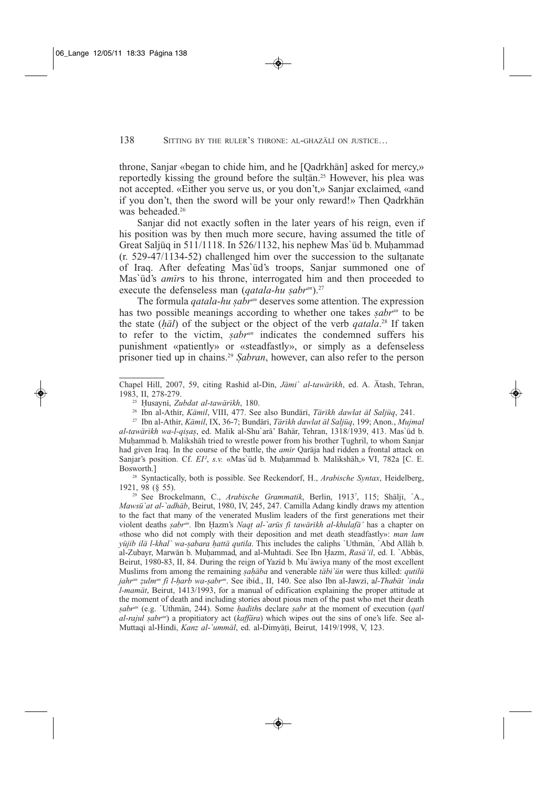throne, Sanjar «began to chide him, and he [Oadrkhan] asked for mercy,» reportedly kissing the ground before the sultan.<sup>25</sup> However, his plea was not accepted. «Either you serve us, or you don't,» Sanjar exclaimed, «and if you don't, then the sword will be your only reward!» Then Oadrkhan was beheaded.<sup>26</sup>

Sanjar did not exactly soften in the later years of his reign, even if his position was by then much more secure, having assumed the title of Great Saljuq in 511/1118. In 526/1132, his nephew Mas'ud b. Muhammad  $(r. 529-47/1134-52)$  challenged him over the succession to the sultanate of Iraq. After defeating Mas'ūd's troops, Sanjar summoned one of Mas'ūd's *amīrs* to his throne, interrogated him and then proceeded to execute the defenseless man (*qatala-hu sabr<sup>an</sup>*).<sup>27</sup>

The formula *qatala-hu sabran* deserves some attention. The expression has two possible meanings according to whether one takes *sabran* to be the state (*hal*) of the subject or the object of the verb *qatala*. <sup>28</sup> If taken to refer to the victim, *sabran* indicates the condemned suffers his punishment «patiently» or «steadfastly», or simply as a defenseless prisoner tied up in chains.29 *Sabran*, however, can also refer to the person

<sup>28</sup> Syntactically, both is possible. See Reckendorf, H., *Arabische Syntax*, Heidelberg, 1921, 98 (§ 55).

<sup>29</sup> See Brockelmann, C., *Arabische Grammatik*, Berlin, 19137 , 115; Shalji, `A., *Mawsu`at al-`adhab*, Beirut, 1980, IV, 245, 247. Camilla Adang kindly draws my attention to the fact that many of the venerated Muslim leaders of the first generations met their violent deaths *sabran*. Ibn Hazm's *Naqt al-`arus fi tawarikh al-khulafa'* has a chapter on «those who did not comply with their deposition and met death steadfastly»: *man lam yujib ila l-khal` wa-sabara hatta qutila*. This includes the caliphs `Uthman, `Abd Allah b. al-Zubayr, Marwan b. Muhammad, and al-Muhtadi. See Ibn Hazm, *Rasa'il*, ed. I. `Abbas, Beirut, 1980-83, II, 84. During the reign of Yazid b. Mu`awiya many of the most excellent Muslims from among the remaining *sahaba* and venerable *tabi`un* were thus killed: *qutilu jahran zulman fi l-harb wa-sabran*. See ibíd., II, 140. See also Ibn al-Jawzi, a*l-Thabat `inda l-mamat*, Beirut, 1413/1993, for a manual of edification explaining the proper attitude at the moment of death and including stories about pious men of the past who met their death *sabran* (e.g. `Uthman, 244). Some *hadith*s declare *sabr* at the moment of execution (*qatl al-rajul sabran*) a propitiatory act (*kaffara*) which wipes out the sins of one's life. See al-Muttaqi al-Hindi, *Kanz al-`ummal*, ed. al-Dimyati, Beirut, 1419/1998, V, 123.

Chapel Hill, 2007, 59, citing Rashid al-Din, *Jami` al-tawarikh*, ed. A. Atash, Tehran, 1983, II, 278-279.

<sup>25</sup> Husayni, *Zubdat al-tawarikh*, 180.

<sup>26</sup> Ibn al-Athir, *Kamil*, VIII, 477. See also Bundari, *Tarikh dawlat al Saljuq*, 241.

<sup>27</sup> Ibn al-Athir, *Kamil*, IX, 36-7; Bundari, *Tarikh dawlat al Saljuq*, 199; Anon., *Mujmal al-tawarikh wa-l-qisas*, ed. Malik al-Shu`ara' Bahar, Tehran, 1318/1939, 413. Mas`ud b. Muhammad b. Malikshah tried to wrestle power from his brother Tughril, to whom Sanjar had given Iraq. In the course of the battle, the *amir* Qaraja had ridden a frontal attack on Sanjar's position. Cf. *EI<sup>2</sup>*, *s.v.* «Mas'ūd b. Muhammad b. Malikshāh,» VI, 782a [C. E. Bosworth.]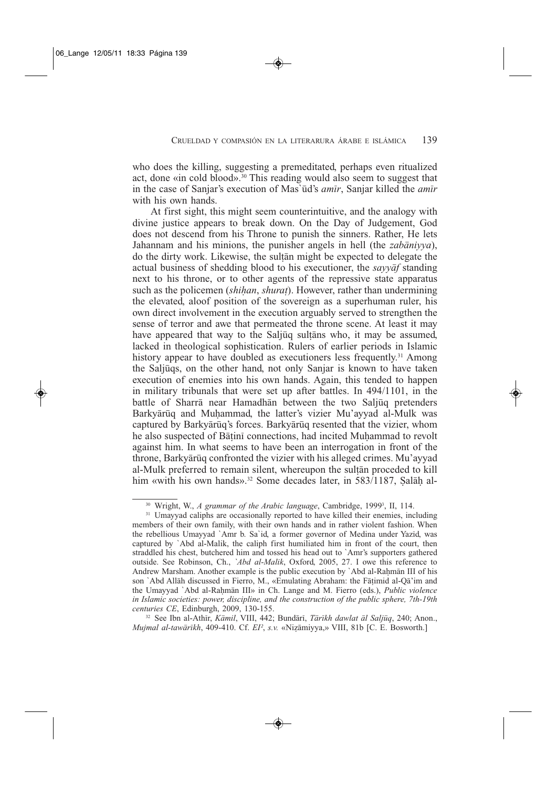who does the killing, suggesting a premeditated, perhaps even ritualized act, done «in cold blood».30 This reading would also seem to suggest that in the case of Sanjar's execution of Mas`ud's *amir*, Sanjar killed the *amir* with his own hands.

At first sight, this might seem counterintuitive, and the analogy with divine justice appears to break down. On the Day of Judgement, God does not descend from his Throne to punish the sinners. Rather, He lets Jahannam and his minions, the punisher angels in hell (the *zabaniyya*), do the dirty work. Likewise, the sultan might be expected to delegate the actual business of shedding blood to his executioner, the *sayyaf* standing next to his throne, or to other agents of the repressive state apparatus such as the policemen (*shihan*, *shurat*). However, rather than undermining the elevated, aloof position of the sovereign as a superhuman ruler, his own direct involvement in the execution arguably served to strengthen the sense of terror and awe that permeated the throne scene. At least it may have appeared that way to the Saljuq sultans who, it may be assumed, lacked in theological sophistication. Rulers of earlier periods in Islamic history appear to have doubled as executioners less frequently.<sup>31</sup> Among the Saljuqs, on the other hand, not only Sanjar is known to have taken execution of enemies into his own hands. Again, this tended to happen in military tribunals that were set up after battles. In 494/1101, in the battle of Sharra near Hamadhan between the two Saljuq pretenders Barkyārūq and Muhammad, the latter's vizier Mu'ayyad al-Mulk was captured by Barkyārūq's forces. Barkyārūq resented that the vizier, whom he also suspected of Batini connections, had incited Muhammad to revolt against him. In what seems to have been an interrogation in front of the throne, Barkyārūq confronted the vizier with his alleged crimes. Mu'ayyad al-Mulk preferred to remain silent, whereupon the sultan proceded to kill him «with his own hands».<sup>32</sup> Some decades later, in 583/1187, Salāh al-

<sup>32</sup> See Ibn al-Athir, *Kamil*, VIII, 442; Bundari, *Tarikh dawlat al Saljuq*, 240; Anon., *Mujmal al-tawarikh*, 409-410. Cf. *EI²*, *s.v.* «Nizamiyya,» VIII, 81b [C. E. Bosworth.]

<sup>&</sup>lt;sup>30</sup> Wright, W., *A grammar of the Arabic language*, Cambridge, 1999<sup>3</sup>, II, 114.

<sup>&</sup>lt;sup>31</sup> Umayyad caliphs are occasionally reported to have killed their enemies, including members of their own family, with their own hands and in rather violent fashion. When the rebellious Umayyad `Amr b. Sa`id, a former governor of Medina under Yazid, was captured by `Abd al-Malik, the caliph first humiliated him in front of the court, then straddled his chest, butchered him and tossed his head out to `Amr's supporters gathered outside. See Robinson, Ch., *`Abd al-Malik*, Oxford, 2005, 27. I owe this reference to Andrew Marsham. Another example is the public execution by `Abd al-Rahman III of his son `Abd Allah discussed in Fierro, M., «Emulating Abraham: the Fatimid al-Qa'im and the Umayyad `Abd al-Rahman III» in Ch. Lange and M. Fierro (eds.), *Public violence in Islamic societies: power, discipline, and the construction of the public sphere, 7th-19th centuries CE*, Edinburgh, 2009, 130-155.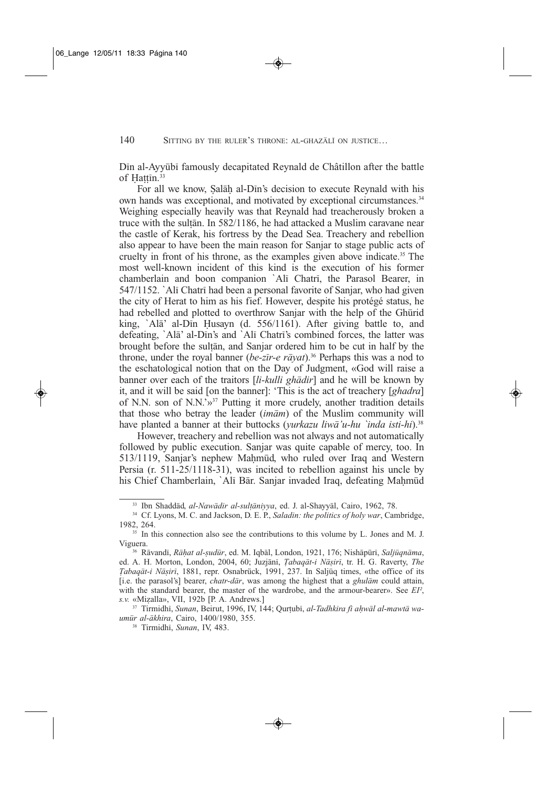Din al-Ayyubi famously decapitated Reynald de Châtillon after the battle of Hattin.<sup>33</sup>

For all we know, Salah al-Din's decision to execute Reynald with his own hands was exceptional, and motivated by exceptional circumstances.<sup>34</sup> Weighing especially heavily was that Reynald had treacherously broken a truce with the sultan. In 582/1186, he had attacked a Muslim caravane near the castle of Kerak, his fortress by the Dead Sea. Treachery and rebellion also appear to have been the main reason for Sanjar to stage public acts of cruelty in front of his throne, as the examples given above indicate.35 The most well-known incident of this kind is the execution of his former chamberlain and boon companion `Ali Chatri, the Parasol Bearer, in 547/1152. `Ali Chatri had been a personal favorite of Sanjar, who had given the city of Herat to him as his fief. However, despite his protégé status, he had rebelled and plotted to overthrow Sanjar with the help of the Ghurid king, `Ala' al-Din Husayn (d. 556/1161). After giving battle to, and defeating, `Ala' al-Din's and `Ali Chatri's combined forces, the latter was brought before the sultan, and Sanjar ordered him to be cut in half by the throne, under the royal banner (*be-zir-e rayat*).36 Perhaps this was a nod to the eschatological notion that on the Day of Judgment, «God will raise a banner over each of the traitors [*li-kulli ghadir*] and he will be known by it, and it will be said [on the banner]: 'This is the act of treachery [*ghadra*] of N.N. son of N.N.'»37 Putting it more crudely, another tradition details that those who betray the leader (*imam*) of the Muslim community will have planted a banner at their buttocks (*yurkazu liwa'u-hu `inda isti-hi*).38

However, treachery and rebellion was not always and not automatically followed by public execution. Sanjar was quite capable of mercy, too. In 513/1119, Sanjar's nephew Mahmud, who ruled over Iraq and Western Persia (r. 511-25/1118-31), was incited to rebellion against his uncle by his Chief Chamberlain, `Alī Bār. Sanjar invaded Iraq, defeating Mahmūd

<sup>33</sup> Ibn Shaddad, *al-Nawadir al-sultaniyya*, ed. J. al-Shayyal, Cairo, 1962, 78.

<sup>34</sup> Cf. Lyons, M. C. and Jackson, D. E. P., *Saladin: the politics of holy war*, Cambridge, 1982, 264.

<sup>&</sup>lt;sup>35</sup> In this connection also see the contributions to this volume by L. Jones and M. J. Viguera.

<sup>36</sup> Ravandi, *Rahat al-sudur*, ed. M. Iqbal, London, 1921, 176; Nishapuri, *Saljuqnama*, ed. A. H. Morton, London, 2004, 60; Juzjani, *Tabaqat-i Nasiri*, tr. H. G. Raverty, *The Tabaqat-i Nasiri*, 1881, repr. Osnabrück, 1991, 237. In Saljuq times, «the office of its [i.e. the parasol's] bearer, *chatr-dar*, was among the highest that a *ghulam* could attain, with the standard bearer, the master of the wardrobe, and the armour-bearer». See *EI²*, *s.v.* «Mizalla», VII, 192b [P. A. Andrews.]

<sup>37</sup> Tirmidhi, *Sunan*, Beirut, 1996, IV, 144; Qurtubi, *al-Tadhkira fi ahwal al-mawta waumur al-akhira*, Cairo, 1400/1980, 355.

<sup>38</sup> Tirmidhi, *Sunan*, IV, 483.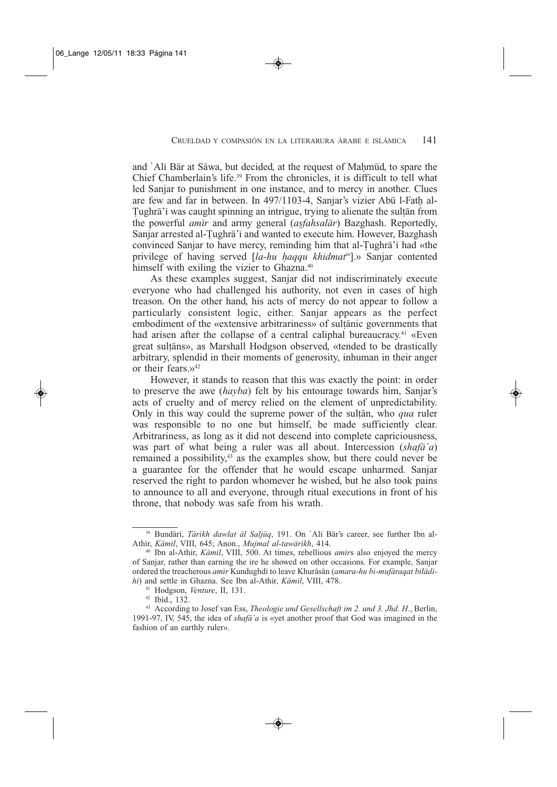and `Ali Bar at Sawa, but decided, at the request of Mahmud, to spare the Chief Chamberlain's life.<sup>39</sup> From the chronicles, it is difficult to tell what led Sanjar to punishment in one instance, and to mercy in another. Clues are few and far in between. In 497/1103-4, Sanjar's vizier Abū l-Fath al-Tughra'i was caught spinning an intrigue, trying to alienate the sultan from the powerful *amir* and army general (*asfahsalar*) Bazghash. Reportedly, Sanjar arrested al-Tughra'i and wanted to execute him. However, Bazghash convinced Sanjar to have mercy, reminding him that al-Tughra'i had «the privilege of having served [*la-hu haqqu khidmatin*].» Sanjar contented himself with exiling the vizier to Ghazna.<sup>40</sup>

As these examples suggest, Sanjar did not indiscriminately execute everyone who had challenged his authority, not even in cases of high treason. On the other hand, his acts of mercy do not appear to follow a particularly consistent logic, either. Sanjar appears as the perfect embodiment of the «extensive arbitrariness» of sultanic governments that had arisen after the collapse of a central caliphal bureaucracy.<sup>41</sup> «Even great sultans», as Marshall Hodgson observed, «tended to be drastically arbitrary, splendid in their moments of generosity, inhuman in their anger or their fears. $v^{42}$ 

However, it stands to reason that this was exactly the point: in order to preserve the awe (*hayba*) felt by his entourage towards him, Sanjar's acts of cruelty and of mercy relied on the element of unpredictability. Only in this way could the supreme power of the sultan, who *qua* ruler was responsible to no one but himself, be made sufficiently clear. Arbitrariness, as long as it did not descend into complete capriciousness, was part of what being a ruler was all about. Intercession (*shafa`a*) remained a possibility,<sup>43</sup> as the examples show, but there could never be a guarantee for the offender that he would escape unharmed. Sanjar reserved the right to pardon whomever he wished, but he also took pains to announce to all and everyone, through ritual executions in front of his throne, that nobody was safe from his wrath.

<sup>39</sup> Bundari, *Tarikh dawlat al Saljuq*, 191. On `Ali Bar's career, see further Ibn al-Athir, *Kamil*, VIII, 645; Anon., *Mujmal al-tawarikh*, 414.

<sup>40</sup> Ibn al-Athir, *Kamil*, VIII, 500. At times, rebellious *amir*s also enjoyed the mercy of Sanjar, rather than earning the ire he showed on other occasions. For example, Sanjar ordered the treacherous *amir* Kundughdi to leave Khurasan (*amara-hu bi-mufaraqat biladihi*) and settle in Ghazna. See Ibn al-Athir, *Kamil*, VIII, 478.

<sup>41</sup> Hodgson, *Venture*, II, 131.

<sup>42</sup> Ibíd., 132.

<sup>43</sup> According to Josef van Ess, *Theologie und Gesellschaft im 2. und 3. Jhd. H.*, Berlin, 1991-97, IV, 545, the idea of *shafa`a* is «yet another proof that God was imagined in the fashion of an earthly ruler».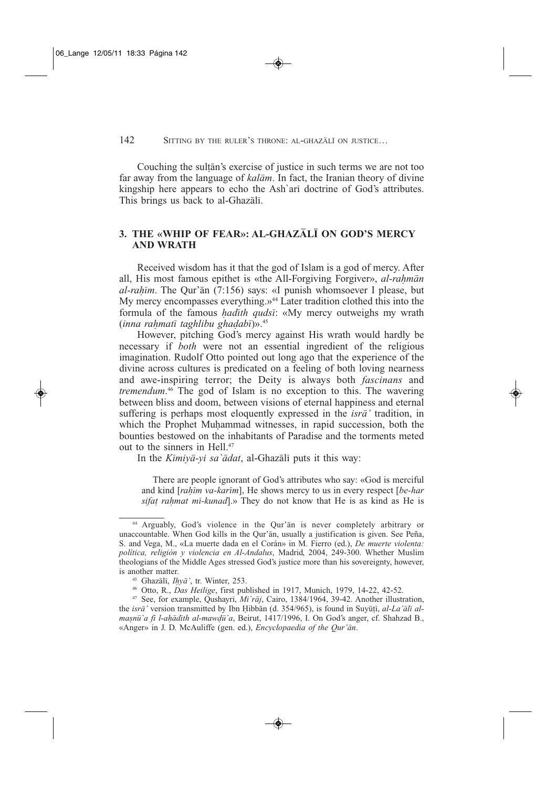#### 142 SITTING BY THE RULER'S THRONE: AL-GHAZALI ON JUSTICE...

Couching the sultan's exercise of justice in such terms we are not too far away from the language of *kalam*. In fact, the Iranian theory of divine kingship here appears to echo the Ash`ari doctrine of God's attributes. This brings us back to al-Ghazali.

## **3. THE «WHIP OF FEAR»: AL-GHAZALI ON GOD'S MERCY AND WRATH**

Received wisdom has it that the god of Islam is a god of mercy. After all, His most famous epithet is «the All-Forgiving Forgiver», *al-rahman al-rahim*. The Qur'an (7:156) says: «I punish whomsoever I please, but My mercy encompasses everything.»<sup>44</sup> Later tradition clothed this into the formula of the famous *hadith qudsi*: «My mercy outweighs my wrath (*inna rahmati taghlibu ghadabi*)».45

However, pitching God's mercy against His wrath would hardly be necessary if *both* were not an essential ingredient of the religious imagination. Rudolf Otto pointed out long ago that the experience of the divine across cultures is predicated on a feeling of both loving nearness and awe-inspiring terror; the Deity is always both *fascinans* and *tremendum*. <sup>46</sup> The god of Islam is no exception to this. The wavering between bliss and doom, between visions of eternal happiness and eternal suffering is perhaps most eloquently expressed in the *isra'* tradition, in which the Prophet Muhammad witnesses, in rapid succession, both the bounties bestowed on the inhabitants of Paradise and the torments meted out to the sinners in Hell.47

In the *Kimiya-yi sa`adat*, al-Ghazali puts it this way:

There are people ignorant of God's attributes who say: «God is merciful and kind [*rahim va-karim*], He shows mercy to us in every respect [*be-har sifat rahmat mi-kunad*].» They do not know that He is as kind as He is

<sup>44</sup> Arguably, God's violence in the Qur'an is never completely arbitrary or unaccountable. When God kills in the Qur'an, usually a justification is given. See Peña, S. and Vega, M., «La muerte dada en el Corán» in M. Fierro (ed.), *De muerte violenta: política, religión y violencia en Al-Andalus*, Madrid, 2004, 249-300. Whether Muslim theologians of the Middle Ages stressed God's justice more than his sovereignty, however, is another matter.

<sup>45</sup> Ghazali, *Ihya'*, tr. Winter, 253.

<sup>46</sup> Otto, R., *Das Heilige*, first published in 1917, Munich, 1979, 14-22, 42-52.

<sup>47</sup> See, for example, Qushayri, *Mi`raj*, Cairo, 1384/1964, 39-42. Another illustration, the *isr* $\bar{a}$ ' version transmitted by Ibn Hibban (d. 354/965), is found in Suyuti, *al-La'ali almasnu`a fi l-ahadith al-mawdu`a*, Beirut, 1417/1996, I. On God's anger, cf. Shahzad B., «Anger» in J. D. McAuliffe (gen. ed.), *Encyclopaedia of the Qur'an*.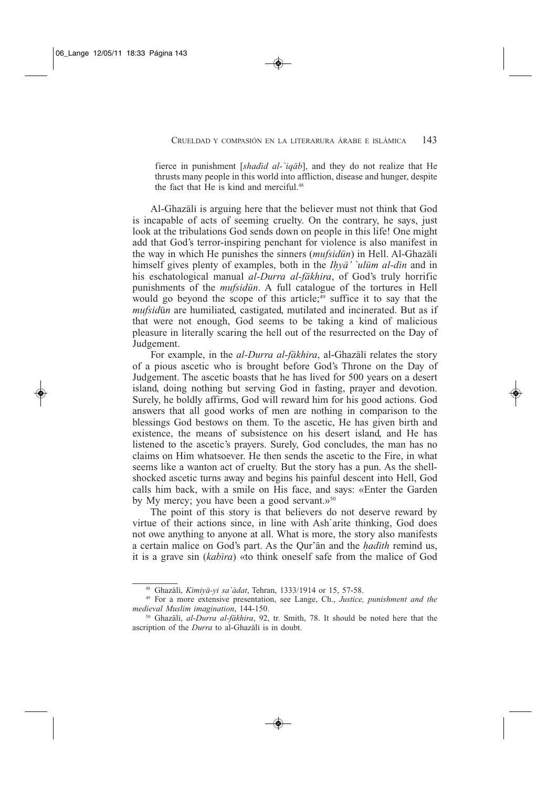fierce in punishment [*shadid al-`iqab*], and they do not realize that He thrusts many people in this world into affliction, disease and hunger, despite the fact that He is kind and merciful.<sup>48</sup>

Al-Ghazali is arguing here that the believer must not think that God is incapable of acts of seeming cruelty. On the contrary, he says, just look at the tribulations God sends down on people in this life! One might add that God's terror-inspiring penchant for violence is also manifest in the way in which He punishes the sinners (*mufsidun*) in Hell. Al-Ghazali himself gives plenty of examples, both in the *Ihya' `ulum al-din* and in his eschatological manual *al-Durra al-fakhira*, of God's truly horrific punishments of the *mufsidun*. A full catalogue of the tortures in Hell would go beyond the scope of this article; $49$  suffice it to say that the *mufsidun* are humiliated, castigated, mutilated and incinerated. But as if that were not enough, God seems to be taking a kind of malicious pleasure in literally scaring the hell out of the resurrected on the Day of Judgement.

For example, in the *al-Durra al-fakhira*, al-Ghazali relates the story of a pious ascetic who is brought before God's Throne on the Day of Judgement. The ascetic boasts that he has lived for 500 years on a desert island, doing nothing but serving God in fasting, prayer and devotion. Surely, he boldly affirms, God will reward him for his good actions. God answers that all good works of men are nothing in comparison to the blessings God bestows on them. To the ascetic, He has given birth and existence, the means of subsistence on his desert island, and He has listened to the ascetic's prayers. Surely, God concludes, the man has no claims on Him whatsoever. He then sends the ascetic to the Fire, in what seems like a wanton act of cruelty. But the story has a pun. As the shellshocked ascetic turns away and begins his painful descent into Hell, God calls him back, with a smile on His face, and says: «Enter the Garden by My mercy; you have been a good servant. $v^{50}$ 

The point of this story is that believers do not deserve reward by virtue of their actions since, in line with Ash`arite thinking, God does not owe anything to anyone at all. What is more, the story also manifests a certain malice on God's part. As the Qur'an and the *hadith* remind us, it is a grave sin (*kabira*) «to think oneself safe from the malice of God

<sup>48</sup> Ghazali, *Kimiya-yi sa`adat*, Tehran, 1333/1914 or 15, 57-58.

<sup>49</sup> For a more extensive presentation, see Lange, Ch., *Justice, punishment and the medieval Muslim imagination*, 144-150.

<sup>50</sup> Ghazali, *al-Durra al-fakhira*, 92, tr. Smith, 78. It should be noted here that the ascription of the *Durra* to al-Ghazali is in doubt.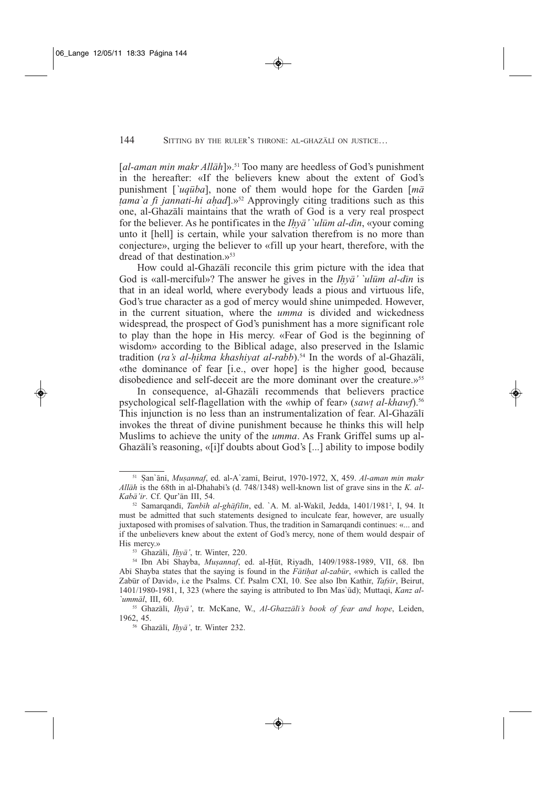[al-aman min makr All*ah*]».<sup>51</sup> Too many are heedless of God's punishment in the hereafter: «If the believers knew about the extent of God's punishment [*`uquba*], none of them would hope for the Garden [*ma tama`a fi jannati-hi ahad*].»52 Approvingly citing traditions such as this one, al-Ghazali maintains that the wrath of God is a very real prospect for the believer. As he pontificates in the *Ih* $\bar{v}$ <sup>*a*</sup> *`ulūm al-dīn*, «your coming unto it [hell] is certain, while your salvation therefrom is no more than conjecture», urging the believer to «fill up your heart, therefore, with the dread of that destination. $v^{53}$ 

How could al-Ghazali reconcile this grim picture with the idea that God is «all-merciful»? The answer he gives in the *Ihya' `ulum al-din* is that in an ideal world, where everybody leads a pious and virtuous life, God's true character as a god of mercy would shine unimpeded. However, in the current situation, where the *umma* is divided and wickedness widespread, the prospect of God's punishment has a more significant role to play than the hope in His mercy. «Fear of God is the beginning of wisdom» according to the Biblical adage, also preserved in the Islamic tradition (*ra's al-hikma khashiyat al-rabb*).<sup>54</sup> In the words of al-Ghazali, «the dominance of fear [i.e., over hope] is the higher good, because disobedience and self-deceit are the more dominant over the creature.»55

In consequence, al-Ghazali recommends that believers practice psychological self-flagellation with the «whip of fear» (*sawt al-khawf*).56 This injunction is no less than an instrumentalization of fear. Al-Ghazali invokes the threat of divine punishment because he thinks this will help Muslims to achieve the unity of the *umma*. As Frank Griffel sums up al-Ghazali's reasoning, «[i]f doubts about God's [...] ability to impose bodily

<sup>53</sup> Ghazali, *Ihya'*, tr. Winter, 220.

<sup>51</sup> San`ani, *Musannaf*, ed. al-A`zami, Beirut, 1970-1972, X, 459. *Al-aman min makr Allah* is the 68th in al-Dhahabi's (d. 748/1348) well-known list of grave sins in the *K. al-Kaba'ir*. Cf. Qur'an III, 54.

<sup>52</sup> Samarqandi, *Tanbih al-ghafilin*, ed. `A. M. al-Wakil, Jedda, 1401/19812 , I, 94. It must be admitted that such statements designed to inculcate fear, however, are usually juxtaposed with promises of salvation. Thus, the tradition in Samarqandi continues: «... and if the unbelievers knew about the extent of God's mercy, none of them would despair of His mercy.»

<sup>54</sup> Ibn Abi Shayba, *Musannaf*, ed. al-Hut, Riyadh, 1409/1988-1989, VII, 68. Ibn Abi Shayba states that the saying is found in the *Fatihat al-zabur*, «which is called the Zabur of David», i.e the Psalms. Cf. Psalm CXI, 10. See also Ibn Kathir, *Tafsir*, Beirut, 1401/1980-1981, I, 323 (where the saying is attributed to Ibn Mas`ud); Muttaqi, *Kanz al- `ummal*, III, 60.

<sup>55</sup> Ghazali, *Ihya'*, tr. McKane, W., *Al-Ghazzali's book of fear and hope*, Leiden, 1962, 45.

<sup>56</sup> Ghazali, *Ihya'*, tr. Winter 232.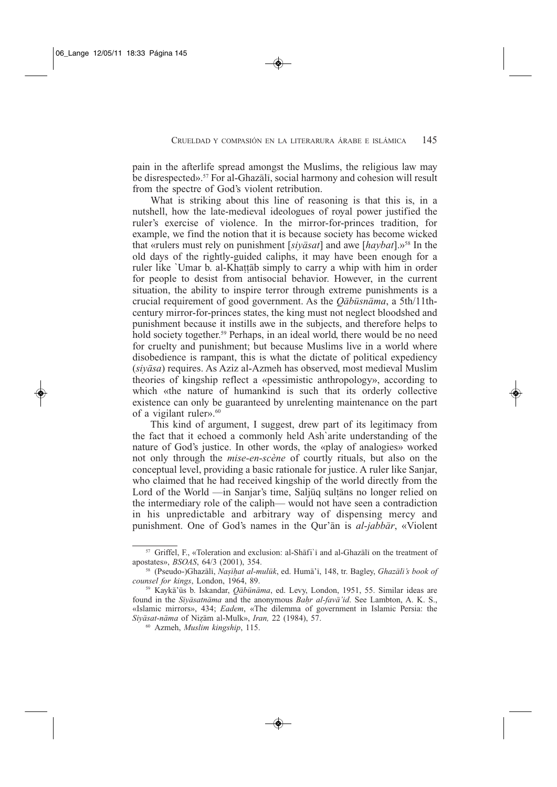pain in the afterlife spread amongst the Muslims, the religious law may be disrespected».<sup>57</sup> For al-Ghazali, social harmony and cohesion will result from the spectre of God's violent retribution.

What is striking about this line of reasoning is that this is, in a nutshell, how the late-medieval ideologues of royal power justified the ruler's exercise of violence. In the mirror-for-princes tradition, for example, we find the notion that it is because society has become wicked that «rulers must rely on punishment [*siyasat*] and awe [*haybat*].»58 In the old days of the rightly-guided caliphs, it may have been enough for a ruler like `Umar b. al-Khattab simply to carry a whip with him in order for people to desist from antisocial behavior. However, in the current situation, the ability to inspire terror through extreme punishments is a crucial requirement of good government. As the *Qabusnama*, a 5th/11thcentury mirror-for-princes states, the king must not neglect bloodshed and punishment because it instills awe in the subjects, and therefore helps to hold society together.<sup>59</sup> Perhaps, in an ideal world, there would be no need for cruelty and punishment; but because Muslims live in a world where disobedience is rampant, this is what the dictate of political expediency (*siyasa*) requires. As Aziz al-Azmeh has observed, most medieval Muslim theories of kingship reflect a «pessimistic anthropology», according to which «the nature of humankind is such that its orderly collective existence can only be guaranteed by unrelenting maintenance on the part of a vigilant ruler».<sup>60</sup>

This kind of argument, I suggest, drew part of its legitimacy from the fact that it echoed a commonly held Ash`arite understanding of the nature of God's justice. In other words, the «play of analogies» worked not only through the *mise-en-scène* of courtly rituals, but also on the conceptual level, providing a basic rationale for justice. A ruler like Sanjar, who claimed that he had received kingship of the world directly from the Lord of the World —in Sanjar's time, Saljuq sultans no longer relied on the intermediary role of the caliph— would not have seen a contradiction in his unpredictable and arbitrary way of dispensing mercy and punishment. One of God's names in the Qur'an is *al-jabbar*, «Violent

<sup>&</sup>lt;sup>57</sup> Griffel, F., «Toleration and exclusion: al-Shafi'i and al-Ghazali on the treatment of apostates», *BSOAS*, 64/3 (2001), 354.

<sup>58</sup> (Pseudo-)Ghazali, *Nasihat al-muluk*, ed. Huma'i, 148, tr. Bagley, *Ghazali's book of counsel for kings*, London, 1964, 89.

<sup>59</sup> Kayka'us b. Iskandar, *Qabunama*, ed. Levy, London, 1951, 55. Similar ideas are found in the *Siyasatnama* and the anonymous *Bahr al-fava'id*. See Lambton, A. K. S., «Islamic mirrors», 434; *Eadem*, «The dilemma of government in Islamic Persia: the *Siyasat-nama* of Nizam al-Mulk», *Iran,* 22 (1984), 57.

<sup>60</sup> Azmeh, *Muslim kingship*, 115.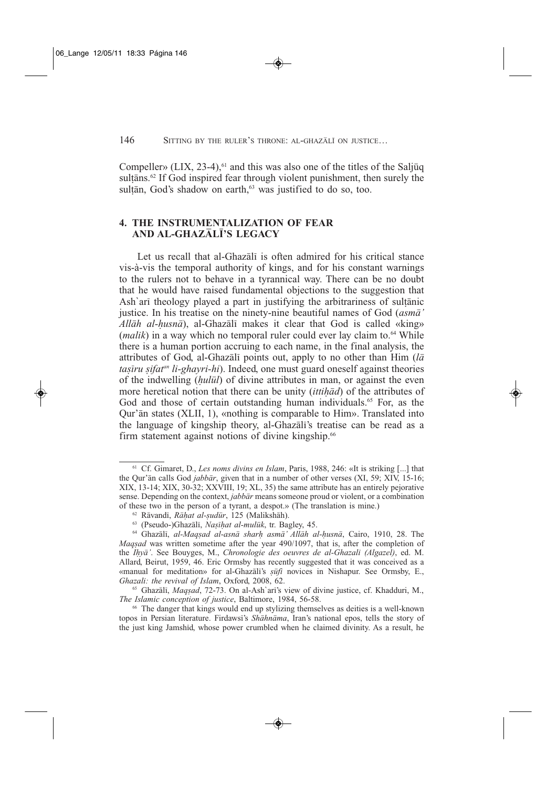Compeller» (LIX, 23-4), $^{61}$  and this was also one of the titles of the Saljuq sultans.<sup>62</sup> If God inspired fear through violent punishment, then surely the sultān, God's shadow on earth, $63$  was justified to do so, too.

## **4. THE INSTRUMENTALIZATION OF FEAR AND AL-GHAZALI'S LEGACY**

Let us recall that al-Ghazali is often admired for his critical stance vis-à-vis the temporal authority of kings, and for his constant warnings to the rulers not to behave in a tyrannical way. There can be no doubt that he would have raised fundamental objections to the suggestion that Ash`ari theology played a part in justifying the arbitrariness of sultanic justice. In his treatise on the ninety-nine beautiful names of God (*asma' Allah al-husna*), al-Ghazali makes it clear that God is called «king»  $(malik)$  in a way which no temporal ruler could ever lay claim to.<sup>64</sup> While there is a human portion accruing to each name, in the final analysis, the attributes of God, al-Ghazali points out, apply to no other than Him (*la tasiru sifatan li-ghayri-hi*). Indeed, one must guard oneself against theories of the indwelling (*hulul*) of divine attributes in man, or against the even more heretical notion that there can be unity (*ittihad*) of the attributes of God and those of certain outstanding human individuals.<sup>65</sup> For, as the Qur'an states (XLII, 1), «nothing is comparable to Him». Translated into the language of kingship theory, al-Ghazali's treatise can be read as a firm statement against notions of divine kingship.<sup>66</sup>

<sup>61</sup> Cf. Gimaret, D., *Les noms divins en Islam*, Paris, 1988, 246: «It is striking [...] that the Our'an calls God *jabbar*, given that in a number of other verses (XI, 59; XIV, 15-16; XIX, 13-14; XIX, 30-32; XXVIII, 19; XL, 35) the same attribute has an entirely pejorative sense. Depending on the context, *jabbar* means someone proud or violent, or a combination of these two in the person of a tyrant, a despot.» (The translation is mine.)

<sup>62</sup> Ravandi, *Rahat al-sudur*, 125 (Malikshah).

<sup>63</sup> (Pseudo-)Ghazali, *Nasihat al-muluk*, tr. Bagley, 45.

<sup>64</sup> Ghazali, *al-Maqsad al-asna sharh asma' Allah al-husna*, Cairo, 1910, 28. The *Maqsad* was written sometime after the year 490/1097, that is, after the completion of the *Ihya'*. See Bouyges, M., *Chronologie des oeuvres de al-Ghazali (Algazel)*, ed. M. Allard, Beirut, 1959, 46. Eric Ormsby has recently suggested that it was conceived as a «manual for meditation» for al-Ghazali's *sufi* novices in Nishapur. See Ormsby, E., *Ghazali: the revival of Islam*, Oxford, 2008, 62.

<sup>65</sup> Ghazali, *Maqsad*, 72-73. On al-Ash`ari's view of divine justice, cf. Khadduri, M., *The Islamic conception of justice*, Baltimore, 1984, 56-58.

<sup>66</sup> The danger that kings would end up stylizing themselves as deities is a well-known topos in Persian literature. Firdawsi's *Shahnama*, Iran's national epos, tells the story of the just king Jamshid, whose power crumbled when he claimed divinity. As a result, he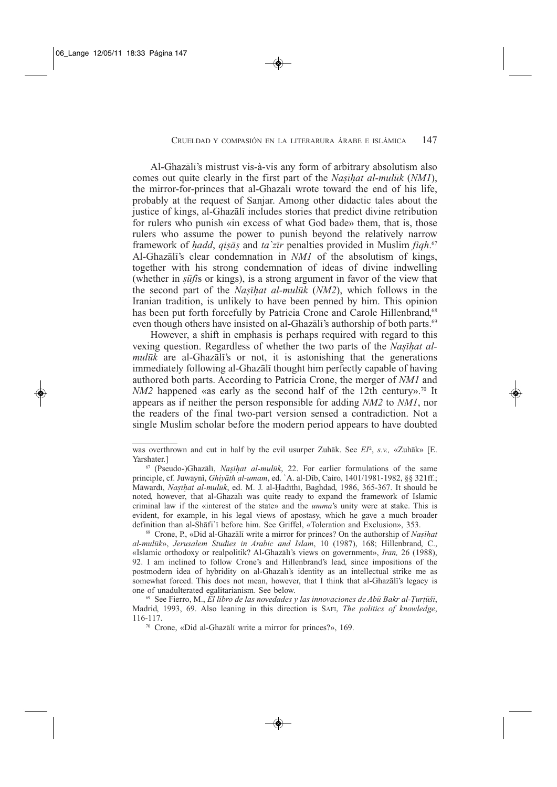Al-Ghazali's mistrust vis-à-vis any form of arbitrary absolutism also comes out quite clearly in the first part of the *Nasihat al-muluk* (*NM1*), the mirror-for-princes that al-Ghazali wrote toward the end of his life, probably at the request of Sanjar. Among other didactic tales about the justice of kings, al-Ghazali includes stories that predict divine retribution for rulers who punish «in excess of what God bade» them, that is, those rulers who assume the power to punish beyond the relatively narrow framework of *hadd*, *qisas* and *ta`zir* penalties provided in Muslim *fiqh*. 67 Al-Ghazali's clear condemnation in *NM1* of the absolutism of kings, together with his strong condemnation of ideas of divine indwelling (whether in *sufi*s or kings), is a strong argument in favor of the view that the second part of the *Nasihat al-muluk* (*NM2*), which follows in the Iranian tradition, is unlikely to have been penned by him. This opinion has been put forth forcefully by Patricia Crone and Carole Hillenbrand.<sup>68</sup> even though others have insisted on al-Ghazali's authorship of both parts.<sup>69</sup>

However, a shift in emphasis is perhaps required with regard to this vexing question. Regardless of whether the two parts of the *Nasihat almuluk* are al-Ghazali's or not, it is astonishing that the generations immediately following al-Ghazali thought him perfectly capable of having authored both parts. According to Patricia Crone, the merger of *NM1* and  $NM2$  happened «as early as the second half of the 12th century».<sup>70</sup> It appears as if neither the person responsible for adding *NM2* to *NM1*, nor the readers of the final two-part version sensed a contradiction. Not a single Muslim scholar before the modern period appears to have doubted

was overthrown and cut in half by the evil usurper Zuhāk. See *EI*<sup>2</sup>, *s.v.*, «Zuhāk» [E. Yarshater.]

<sup>67</sup> (Pseudo-)Ghazali, *Nasihat al-muluk*, 22. For earlier formulations of the same principle, cf. Juwayni, *Ghiyath al-umam*, ed. `A. al-Dib, Cairo, 1401/1981-1982, §§ 321ff.; Mawardi, *Nasihat al-muluk*, ed. M. J. al-Hadithi, Baghdad, 1986, 365-367. It should be noted, however, that al-Ghazali was quite ready to expand the framework of Islamic criminal law if the «interest of the state» and the *umma*'s unity were at stake. This is evident, for example, in his legal views of apostasy, which he gave a much broader definition than al-Shafi`i before him. See Griffel, «Toleration and Exclusion», 353.

<sup>68</sup> Crone, P., «Did al-Ghazali write a mirror for princes? On the authorship of *Nasihat al-muluk*», *Jerusalem Studies in Arabic and Islam*, 10 (1987), 168; Hillenbrand, C., «Islamic orthodoxy or realpolitik? Al-Ghazali's views on government», *Iran,* 26 (1988), 92. I am inclined to follow Crone's and Hillenbrand's lead, since impositions of the postmodern idea of hybridity on al-Ghazali's identity as an intellectual strike me as somewhat forced. This does not mean, however, that I think that al-Ghazali's legacy is one of unadulterated egalitarianism. See below.

<sup>69</sup> See Fierro, M., *El libro de las novedades y las innovaciones de Abu Bakr al-Turtuši*, Madrid, 1993, 69. Also leaning in this direction is SAFI, *The politics of knowledge*, 116-117.

<sup>70</sup> Crone, «Did al-Ghazali write a mirror for princes?», 169.